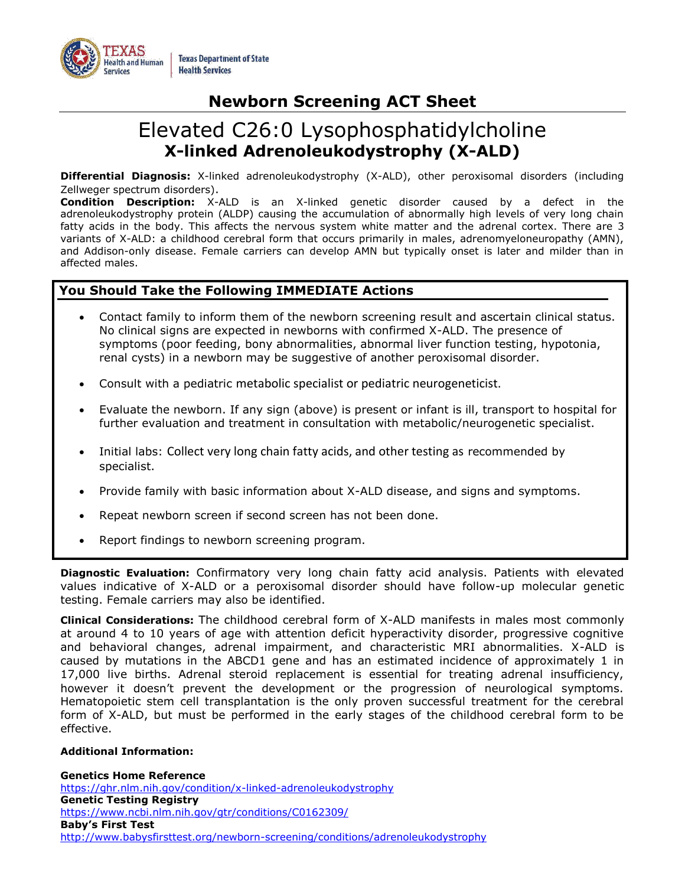

# **Newborn Screening ACT Sheet**

# Elevated C26:0 Lysophosphatidylcholine **X-linked Adrenoleukodystrophy (X-ALD)**

**Differential Diagnosis:** X-linked adrenoleukodystrophy (X-ALD), other peroxisomal disorders (including Zellweger spectrum disorders).

**Condition Description:** X-ALD is an X-linked genetic disorder caused by a defect in the adrenoleukodystrophy protein (ALDP) causing the accumulation of abnormally high levels of very long chain fatty acids in the body. This affects the nervous system white matter and the adrenal cortex. There are 3 variants of X-ALD: a childhood cerebral form that occurs primarily in males, adrenomyeloneuropathy (AMN), and Addison-only disease. Female carriers can develop AMN but typically onset is later and milder than in affected males.

# **You Should Take the Following IMMEDIATE Actions**

- Contact family to inform them of the newborn screening result and ascertain clinical status. No clinical signs are expected in newborns with confirmed X-ALD. The presence of symptoms (poor feeding, bony abnormalities, abnormal liver function testing, hypotonia, renal cysts) in a newborn may be suggestive of another peroxisomal disorder.
- Consult with a pediatric metabolic specialist or pediatric neurogeneticist.
- Evaluate the newborn. If any sign (above) is present or infant is ill, transport to hospital for further evaluation and treatment in consultation with metabolic/neurogenetic specialist.
- Initial labs: Collect very long chain fatty acids, and other testing as recommended by specialist.
- Provide family with basic information about X-ALD disease, and signs and symptoms.
- Repeat newborn screen if second screen has not been done.
- Report findings to newborn screening program.

**Diagnostic Evaluation:** Confirmatory very long chain fatty acid analysis. Patients with elevated values indicative of X-ALD or a peroxisomal disorder should have follow-up molecular genetic testing. Female carriers may also be identified.

**Clinical Considerations:** The childhood cerebral form of X-ALD manifests in males most commonly at around 4 to 10 years of age with attention deficit hyperactivity disorder, progressive cognitive and behavioral changes, adrenal impairment, and characteristic MRI abnormalities. X-ALD is caused by mutations in the ABCD1 gene and has an estimated incidence of approximately 1 in 17,000 live births. Adrenal steroid replacement is essential for treating adrenal insufficiency, however it doesn't prevent the development or the progression of neurological symptoms. Hematopoietic stem cell transplantation is the only proven successful treatment for the cerebral form of X-ALD, but must be performed in the early stages of the childhood cerebral form to be effective.

# **Additional Information:**

**Genetics Home Reference** <https://ghr.nlm.nih.gov/condition/x-linked-adrenoleukodystrophy> **Genetic Testing Registry** <https://www.ncbi.nlm.nih.gov/gtr/conditions/C0162309/> **Baby's First Test** <http://www.babysfirsttest.org/newborn-screening/conditions/adrenoleukodystrophy>